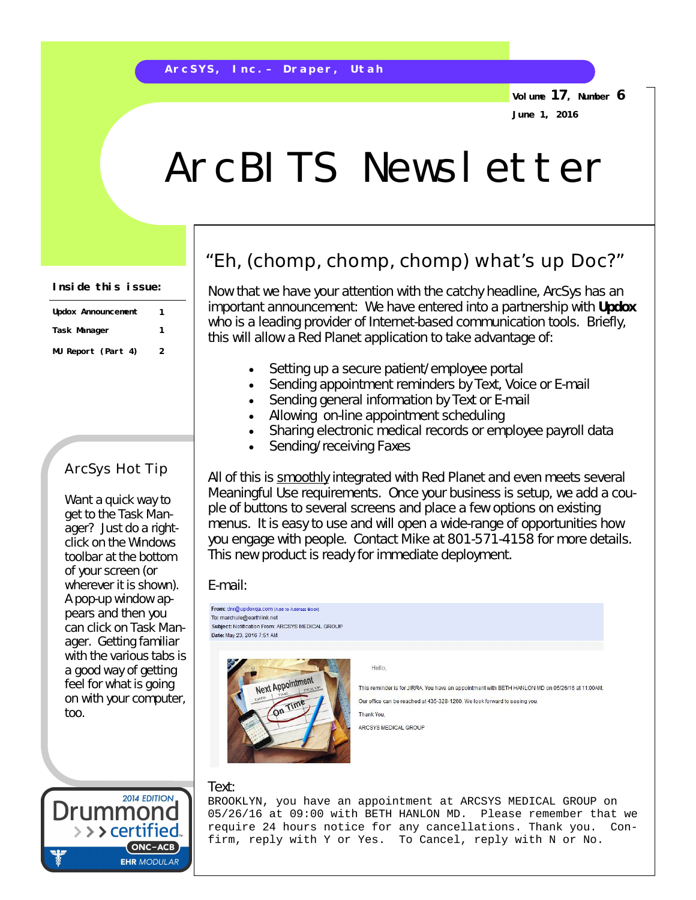**Volume 17, Number 6 June 1, 2016**

# ArcBITS Newsletter

| Updox Announcement | 1 |
|--------------------|---|
| Task Manager       | 1 |
| MU Report (Part 4) | 2 |

### ArcSys Hot Tip

Want a quick way to get to the Task Manager? Just do a rightclick on the Windows toolbar at the bottom of your screen (or wherever it is shown). A pop-up window appears and then you can click on Task Manager. Getting familiar with the various tabs is a good way of getting feel for what is going on with your computer, too.

**2014 EDITION** 

ONC-ACB **EHR MODULAR** 

> > > certified

## "Eh, (chomp, chomp, chomp) what's up Doc?"

Now that we have your attention with the catchy headline, ArcSys has an important announcement: We have entered into a partnership with **Updox** who is a leading provider of Internet-based communication tools. Briefly, this will allow a Red Planet application to take advantage of:

- Setting up a secure patient/employee portal
- Sending appointment reminders by Text, Voice or E-mail
- Sending general information by Text or E-mail
- Allowing on-line appointment scheduling
- Sharing electronic medical records or employee payroll data
- Sending/receiving Faxes

All of this is *smoothly* integrated with Red Planet and even meets several Meaningful Use requirements. Once your business is setup, we add a couple of buttons to several screens and place a few options on existing menus. It is easy to use and will open a wide-range of opportunities how you engage with people. Contact Mike at 801-571-4158 for more details. This new product is ready for immediate deployment.

#### E-mail:



#### Text:

BROOKLYN, you have an appointment at ARCSYS MEDICAL GROUP on 05/26/16 at 09:00 with BETH HANLON MD. Please remember that we require 24 hours notice for any cancellations. Thank you. Confirm, reply with Y or Yes. To Cancel, reply with N or No.